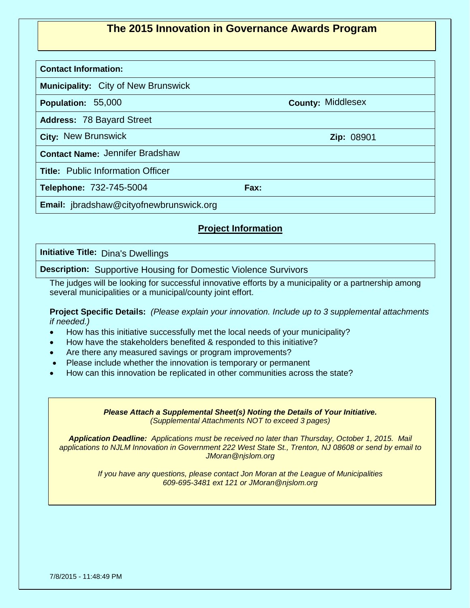## **The 2015 Innovation in Governance Awards Program**

## **Contact Information:**

**Municipality:**  City of New Brunswick

**Population: 55,000** 

**Address:** 78 Bayard Street

**City: Zip:** New Brunswick 08901

**Contact Name:**  Jennifer Bradshaw

**Title:** Public Information Officer

**Telephone: Fax:** 732-745-5004

**Email:** jbradshaw@cityofnewbrunswick.org

## **Project Information**

**Initiative Title:**  Dina's Dwellings

**Description:** Supportive Housing for Domestic Violence Survivors

The judges will be looking for successful innovative efforts by a municipality or a partnership among several municipalities or a municipal/county joint effort.

**Project Specific Details:** *(Please explain your innovation. Include up to 3 supplemental attachments if needed.)*

- How has this initiative successfully met the local needs of your municipality?
- How have the stakeholders benefited & responded to this initiative?
- Are there any measured savings or program improvements?
- Please include whether the innovation is temporary or permanent
- How can this innovation be replicated in other communities across the state?

*Please Attach a Supplemental Sheet(s) Noting the Details of Your Initiative. (Supplemental Attachments NOT to exceed 3 pages)*

*Application Deadline: Applications must be received no later than Thursday, October 1, 2015. Mail applications to NJLM Innovation in Government 222 West State St., Trenton, NJ 08608 or send by email to JMoran@njslom.org*

> *If you have any questions, please contact Jon Moran at the League of Municipalities 609-695-3481 ext 121 or JMoran@njslom.org*

7/8/2015 - 11:48:49 PM

County: Middlesex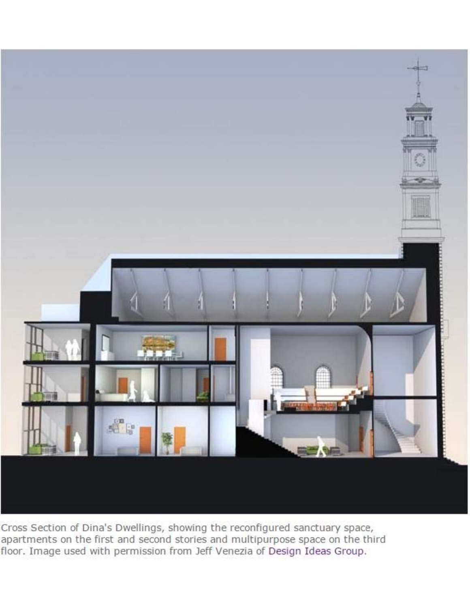

Cross Section of Dina's Dwellings, showing the reconfigured sanctuary space, apartments on the first and second stories and multipurpose space on the third floor. Image used with permission from Jeff Venezia of Design Ideas Group.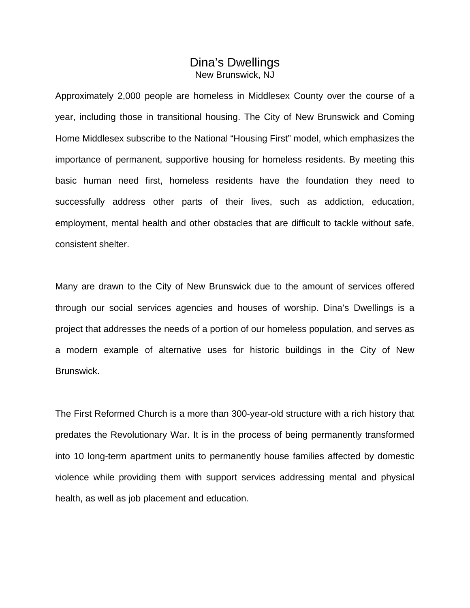## Dina's Dwellings New Brunswick, NJ

Approximately 2,000 people are homeless in Middlesex County over the course of a year, including those in transitional housing. The City of New Brunswick and Coming Home Middlesex subscribe to the National "Housing First" model, which emphasizes the importance of permanent, supportive housing for homeless residents. By meeting this basic human need first, homeless residents have the foundation they need to successfully address other parts of their lives, such as addiction, education, employment, mental health and other obstacles that are difficult to tackle without safe, consistent shelter.

Many are drawn to the City of New Brunswick due to the amount of services offered through our social services agencies and houses of worship. Dina's Dwellings is a project that addresses the needs of a portion of our homeless population, and serves as a modern example of alternative uses for historic buildings in the City of New Brunswick.

The First Reformed Church is a more than 300-year-old structure with a rich history that predates the Revolutionary War. It is in the process of being permanently transformed into 10 long-term apartment units to permanently house families affected by domestic violence while providing them with support services addressing mental and physical health, as well as job placement and education.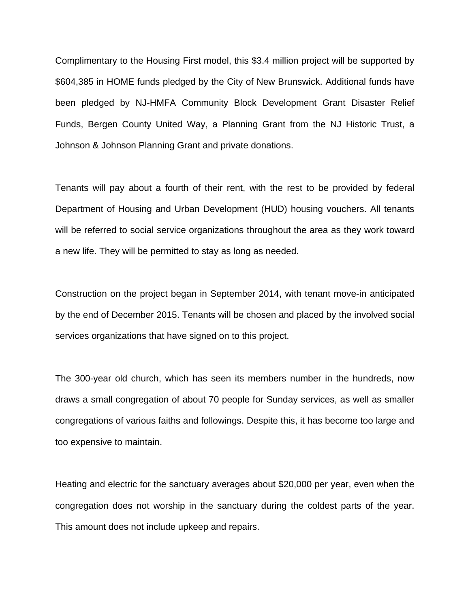Complimentary to the Housing First model, this \$3.4 million project will be supported by \$604,385 in HOME funds pledged by the City of New Brunswick. Additional funds have been pledged by NJ-HMFA Community Block Development Grant Disaster Relief Funds, Bergen County United Way, a Planning Grant from the NJ Historic Trust, a Johnson & Johnson Planning Grant and private donations.

Tenants will pay about a fourth of their rent, with the rest to be provided by federal Department of Housing and Urban Development (HUD) housing vouchers. All tenants will be referred to social service organizations throughout the area as they work toward a new life. They will be permitted to stay as long as needed.

Construction on the project began in September 2014, with tenant move-in anticipated by the end of December 2015. Tenants will be chosen and placed by the involved social services organizations that have signed on to this project.

The 300-year old church, which has seen its members number in the hundreds, now draws a small congregation of about 70 people for Sunday services, as well as smaller congregations of various faiths and followings. Despite this, it has become too large and too expensive to maintain.

Heating and electric for the sanctuary averages about \$20,000 per year, even when the congregation does not worship in the sanctuary during the coldest parts of the year. This amount does not include upkeep and repairs.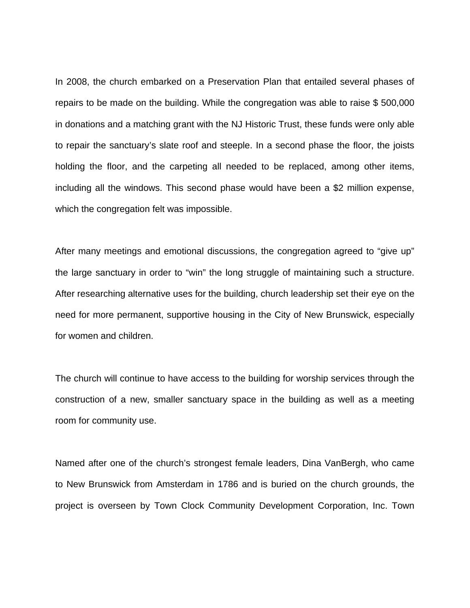In 2008, the church embarked on a Preservation Plan that entailed several phases of repairs to be made on the building. While the congregation was able to raise \$ 500,000 in donations and a matching grant with the NJ Historic Trust, these funds were only able to repair the sanctuary's slate roof and steeple. In a second phase the floor, the joists holding the floor, and the carpeting all needed to be replaced, among other items, including all the windows. This second phase would have been a \$2 million expense, which the congregation felt was impossible.

After many meetings and emotional discussions, the congregation agreed to "give up" the large sanctuary in order to "win" the long struggle of maintaining such a structure. After researching alternative uses for the building, church leadership set their eye on the need for more permanent, supportive housing in the City of New Brunswick, especially for women and children.

The church will continue to have access to the building for worship services through the construction of a new, smaller sanctuary space in the building as well as a meeting room for community use.

Named after one of the church's strongest female leaders, Dina VanBergh, who came to New Brunswick from Amsterdam in 1786 and is buried on the church grounds, the project is overseen by Town Clock Community Development Corporation, Inc. Town